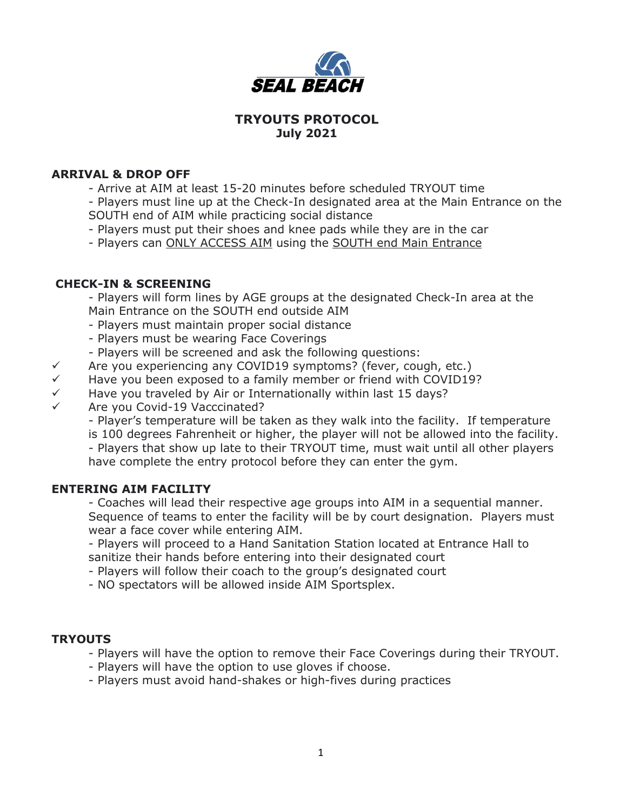

# **TRYOUTS PROTOCOL July 2021**

#### **ARRIVAL & DROP OFF**

- Arrive at AIM at least 15-20 minutes before scheduled TRYOUT time
- Players must line up at the Check-In designated area at the Main Entrance on the SOUTH end of AIM while practicing social distance
- Players must put their shoes and knee pads while they are in the car
- Players can ONLY ACCESS AIM using the SOUTH end Main Entrance

#### **CHECK-IN & SCREENING**

- Players will form lines by AGE groups at the designated Check-In area at the Main Entrance on the SOUTH end outside AIM

- Players must maintain proper social distance
- Players must be wearing Face Coverings
- Players will be screened and ask the following questions:
- $\checkmark$  Are you experiencing any COVID19 symptoms? (fever, cough, etc.)
- $\checkmark$  Have you been exposed to a family member or friend with COVID19?
- $\checkmark$  Have you traveled by Air or Internationally within last 15 days?
- Are you Covid-19 Vacccinated?

- Player's temperature will be taken as they walk into the facility. If temperature is 100 degrees Fahrenheit or higher, the player will not be allowed into the facility. - Players that show up late to their TRYOUT time, must wait until all other players have complete the entry protocol before they can enter the gym.

# **ENTERING AIM FACILITY**

- Coaches will lead their respective age groups into AIM in a sequential manner. Sequence of teams to enter the facility will be by court designation. Players must wear a face cover while entering AIM.

- Players will proceed to a Hand Sanitation Station located at Entrance Hall to sanitize their hands before entering into their designated court

- Players will follow their coach to the group's designated court
- NO spectators will be allowed inside AIM Sportsplex.

# **TRYOUTS**

- Players will have the option to remove their Face Coverings during their TRYOUT.
- Players will have the option to use gloves if choose.
- Players must avoid hand-shakes or high-fives during practices